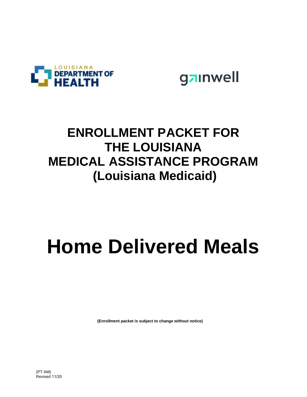



### **ENROLLMENT PACKET FOR THE LOUISIANA MEDICAL ASSISTANCE PROGRAM (Louisiana Medicaid)**

# **Home Delivered Meals**

**(Enrollment packet is subject to change without notice)**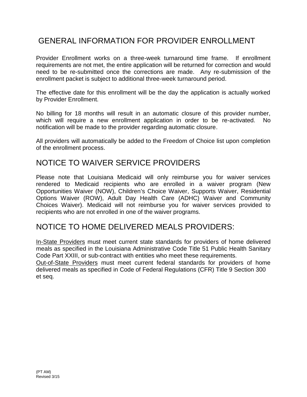### GENERAL INFORMATION FOR PROVIDER ENROLLMENT

Provider Enrollment works on a three-week turnaround time frame. If enrollment requirements are not met, the entire application will be returned for correction and would need to be re-submitted once the corrections are made. Any re-submission of the enrollment packet is subject to additional three-week turnaround period.

The effective date for this enrollment will be the day the application is actually worked by Provider Enrollment.

No billing for 18 months will result in an automatic closure of this provider number, which will require a new enrollment application in order to be re-activated. No notification will be made to the provider regarding automatic closure.

All providers will automatically be added to the Freedom of Choice list upon completion of the enrollment process.

### NOTICE TO WAIVER SERVICE PROVIDERS

Please note that Louisiana Medicaid will only reimburse you for waiver services rendered to Medicaid recipients who are enrolled in a waiver program (New Opportunities Waiver (NOW), Children's Choice Waiver, Supports Waiver, Residential Options Waiver (ROW), Adult Day Health Care (ADHC) Waiver and Community Choices Waiver). Medicaid will not reimburse you for waiver services provided to recipients who are not enrolled in one of the waiver programs.

### NOTICE TO HOME DELIVERED MEALS PROVIDERS:

In-State Providers must meet current state standards for providers of home delivered meals as specified in the Louisiana Administrative Code Title 51 Public Health Sanitary Code Part XXIII, or sub-contract with entities who meet these requirements.

Out-of-State Providers must meet current federal standards for providers of home delivered meals as specified in Code of Federal Regulations (CFR) Title 9 Section 300 et seq.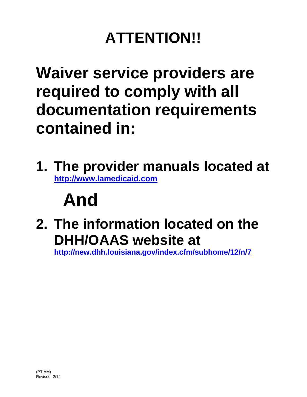# **ATTENTION!!**

## **Waiver service providers are required to comply with all documentation requirements contained in:**

**1. The provider manuals located at http://www.lamedicaid.com**

# **And**

**2. The information located on the DHH/OAAS website at**

**http://new.dhh.louisiana.gov/index.cfm/subhome/12/n/7**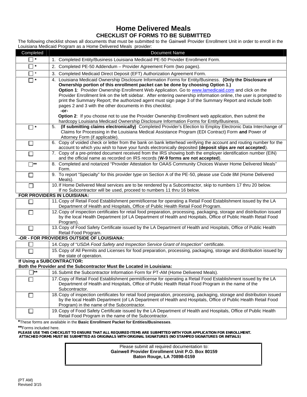### **Home Delivered Meals CHECKLIST OF FORMS TO BE SUBMITTED**

The following checklist shows all documents that must be submitted to the Gainwell Provider Enrollment Unit in order to enroll in the Louisiana Medicaid Program as a Home Delivered Meals provider:

| Completed      | Louisiana modisala i Togram do a Fromo Dollvoroa modio provident<br>Document Name                                                                                                                                                                                                         |
|----------------|-------------------------------------------------------------------------------------------------------------------------------------------------------------------------------------------------------------------------------------------------------------------------------------------|
| $\Box$ *       | 1. Completed Entity/Business Louisiana Medicaid PE-50 Provider Enrollment Form.                                                                                                                                                                                                           |
| $\Box$ *       | 2. Completed PE-50 Addendum - Provider Agreement Form (two pages).                                                                                                                                                                                                                        |
| $\Box$ *       | 3. Completed Medicaid Direct Deposit (EFT) Authorization Agreement Form.                                                                                                                                                                                                                  |
| $\Box$ *       | 4. Louisiana Medicaid Ownership Disclosure Information Forms for Entity/Business. (Only the Disclosure of                                                                                                                                                                                 |
|                | Ownership portion of this enrollment packet can be done by choosing Option 1.)                                                                                                                                                                                                            |
|                | Option 1: Provider Ownership Enrollment Web Application. Go to www.lamedicaid.com and click on the                                                                                                                                                                                        |
|                | Provider Enrollment link on the left sidebar. After entering ownership information online, the user is prompted to<br>print the Summary Report; the authorized agent must sign page 3 of the Summary Report and include both<br>pages 2 and 3 with the other documents in this checklist. |
|                | -or-                                                                                                                                                                                                                                                                                      |
|                | Option 2: If you choose not to use the Provider Ownership Enrollment web application, then submit the                                                                                                                                                                                     |
|                | hardcopy Louisiana Medicaid Ownership Disclosure Information Forms for Entity/Business.                                                                                                                                                                                                   |
| $\square$ *    | (If submitting claims electronically) Completed Provider's Election to Employ Electronic Data Interchange of<br>5.                                                                                                                                                                        |
|                | Claims for Processing in the Louisiana Medical Assistance Program (EDI Contract) Form and Power of                                                                                                                                                                                        |
|                | Attorney Form (if applicable).<br>6. Copy of voided check or letter from the bank on bank letterhead verifying the account and routing number for the                                                                                                                                     |
| $\Box$         | account to which you wish to have your funds electronically deposited (deposit slips are not accepted).                                                                                                                                                                                   |
| $\Box$         | 7. Copy of a pre-printed document received from the IRS showing both the employer identification number (EIN)<br>and the official name as recorded on IRS records (W-9 forms are not accepted).                                                                                           |
| $\Box^{**}$    | 8. Completed and notarized "Provider Attestation for OAAS Community Choices Waiver Home Delivered Meals"<br>Form.                                                                                                                                                                         |
| $\Box$         | 9. To report "Specialty" for this provider type on Section A of the PE-50, please use Code 8M (Home Delivered<br>Meals).                                                                                                                                                                  |
| $\Box$         | 10. If Home Delivered Meal services are to be rendered by a Subcontractor, skip to numbers 17 thru 20 below.<br>If no Subcontractor will be used, proceed to numbers 11 thru 16 below.                                                                                                    |
|                | FOR PROVIDERS IN LOUISIANA:                                                                                                                                                                                                                                                               |
| $\Box$         | 11. Copy of Retail Food Establishment permit/license for operating a Retail Food Establishment issued by the LA<br>Department of Health and Hospitals, Office of Public Health Retail Food Program.                                                                                       |
| $\Box$         | 12. Copy of inspection certificates for retail food preparation, processing, packaging, storage and distribution issued<br>by the local Health Department (of LA Department of Health and Hospitals, Office of Public Health Retail Food<br>Program).                                     |
| $\Box$         | 13. Copy of Food Safety Certificate issued by the LA Department of Health and Hospitals, Office of Public Health<br>Retail Food Program.                                                                                                                                                  |
|                | -OR - FOR PROVIDERS OUTSIDE OF LOUISIANA:                                                                                                                                                                                                                                                 |
| ⊔              | 14. Copy of "USDA Food Safety and Inspection Service Grant of Inspection" certificate.                                                                                                                                                                                                    |
| $\Box$         | 15. Copy of All Permits and Licenses for food preparation, processing, packaging, storage and distribution issued by                                                                                                                                                                      |
|                | the state of operation.                                                                                                                                                                                                                                                                   |
|                | If Using a SUBCONTRACTOR:<br>Both the Provider and the Subcontractor Must Be Located in Louisiana:                                                                                                                                                                                        |
| $\square^{**}$ | 16. Submit the Subcontractor Information Form for PT-AM (Home Delivered Meals).                                                                                                                                                                                                           |
| $\Box$         | 17. Copy of Retail Food Establishment permit/license for operating a Retail Food Establishment issued by the LA                                                                                                                                                                           |
|                | Department of Health and Hospitals, Office of Public Health Retail Food Program in the name of the<br>Subcontractor.                                                                                                                                                                      |
| ⊔              | 18. Copy of inspection certificates for retail food preparation, processing, packaging, storage and distribution issued<br>by the local Health Department (of LA Department of Health and Hospitals, Office of Public Health Retail Food<br>Program) in the name of the Subcontractor.    |
| $\Box$         | 19. Copy of Food Safety Certificate issued by the LA Department of Health and Hospitals, Office of Public Health<br>Retail Food Program in the name of the Subcontractor.                                                                                                                 |

**\***These forms are available in the **Basic Enrollment Packet for Entities/Businesses**.

**\*\***Forms included here.

*PLEASE USE THIS CHECKLIST TO ENSURE THAT ALL REQUIRED ITEMS ARE SUBMITTED WITH YOUR APPLICATION FOR ENROLLMENT. ATTACHED FORMS MUST BE SUBMITTED AS ORIGINALS WITH ORIGINAL SIGNATURES (NO STAMPED SIGNATURES OR INITIALS)*

| Please submit all required documentation to:            |
|---------------------------------------------------------|
| <b>Gainwell Provider Enrollment Unit P.O. Box 80159</b> |
| Baton Rouge, LA 70898-0159                              |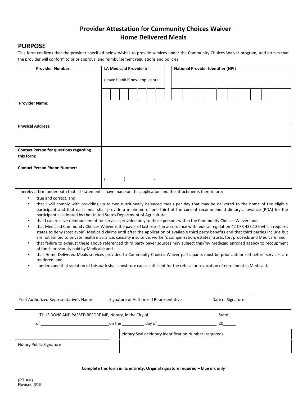### **Provider Attestation for Community Choices Waiver Home Delivered Meals**

#### **PURPOSE**

This form confirms that the provider specified below wishes to provide services under the Community Choices Waiver program, and attests that the provider will conform to prior approval and reimbursement regulations and policies.

| <b>Provider Number:</b>                       | LA Medicaid Provider #         |  | <b>National Provider Identifier (NPI)</b> |  |  |  |  |  |  |  |  |  |  |  |
|-----------------------------------------------|--------------------------------|--|-------------------------------------------|--|--|--|--|--|--|--|--|--|--|--|
|                                               |                                |  |                                           |  |  |  |  |  |  |  |  |  |  |  |
|                                               | (leave blank if new applicant) |  |                                           |  |  |  |  |  |  |  |  |  |  |  |
|                                               |                                |  |                                           |  |  |  |  |  |  |  |  |  |  |  |
|                                               |                                |  |                                           |  |  |  |  |  |  |  |  |  |  |  |
| <b>Provider Name:</b>                         |                                |  |                                           |  |  |  |  |  |  |  |  |  |  |  |
|                                               |                                |  |                                           |  |  |  |  |  |  |  |  |  |  |  |
|                                               |                                |  |                                           |  |  |  |  |  |  |  |  |  |  |  |
| <b>Physical Address:</b>                      |                                |  |                                           |  |  |  |  |  |  |  |  |  |  |  |
|                                               |                                |  |                                           |  |  |  |  |  |  |  |  |  |  |  |
|                                               |                                |  |                                           |  |  |  |  |  |  |  |  |  |  |  |
| <b>Contact Person for questions regarding</b> |                                |  |                                           |  |  |  |  |  |  |  |  |  |  |  |
| this form:                                    |                                |  |                                           |  |  |  |  |  |  |  |  |  |  |  |
|                                               |                                |  |                                           |  |  |  |  |  |  |  |  |  |  |  |
| <b>Contact Person Phone Number:</b>           |                                |  |                                           |  |  |  |  |  |  |  |  |  |  |  |
|                                               |                                |  |                                           |  |  |  |  |  |  |  |  |  |  |  |
|                                               |                                |  |                                           |  |  |  |  |  |  |  |  |  |  |  |

I hereby affirm under oath that all statements I have made on this application and the attachments thereto are:

- true and correct; and
- that I will comply with providing up to two nutritionally balanced meals per day that may be delivered to the home of the eligible participant and that each meal shall provide a minimum of one-third of the current recommended dietary allowance (RDA) for the participant as adopted by the United States Department of Agriculture.
- that I can receive reimbursement for services provided only to those persons within the Community Choices Waiver; and
- that Medicaid Community Choices Waiver is the payer of last resort in accordance with federal regulation 42 CFR 433.139 which requires states to deny (cost avoid) Medicaid claims until after the application of available third party benefits and that third parties include but are not limited to private health insurance, casualty insurance, worker's compensation, estates, trusts, tort proceeds and Medicare; and
- that failure to exhaust these above referenced third party payer sources may subject this/my Medicaid enrolled agency to recoupment of funds previously paid by Medicaid; and
- that Home Delivered Meals services provided to Community Choices Waiver participants must be prior authorized before services are rendered; and
- I understand that violation of this oath shall constitute cause sufficient for the refusal or revocation of enrollment in Medicaid.

| Print Authorized Representative's Name | Signature of Authorized Representative                 | Date of Signature |  |
|----------------------------------------|--------------------------------------------------------|-------------------|--|
|                                        | THUS DONE AND PASSED BEFORE ME, Notary, in the City of | State             |  |
| of                                     | on the day of                                          | $.20$ .           |  |
| Notary Public Signature                | Notary Seal or Notary Identification Number (required) |                   |  |

#### **Complete this form in its entirety. Original signature required – blue ink only**